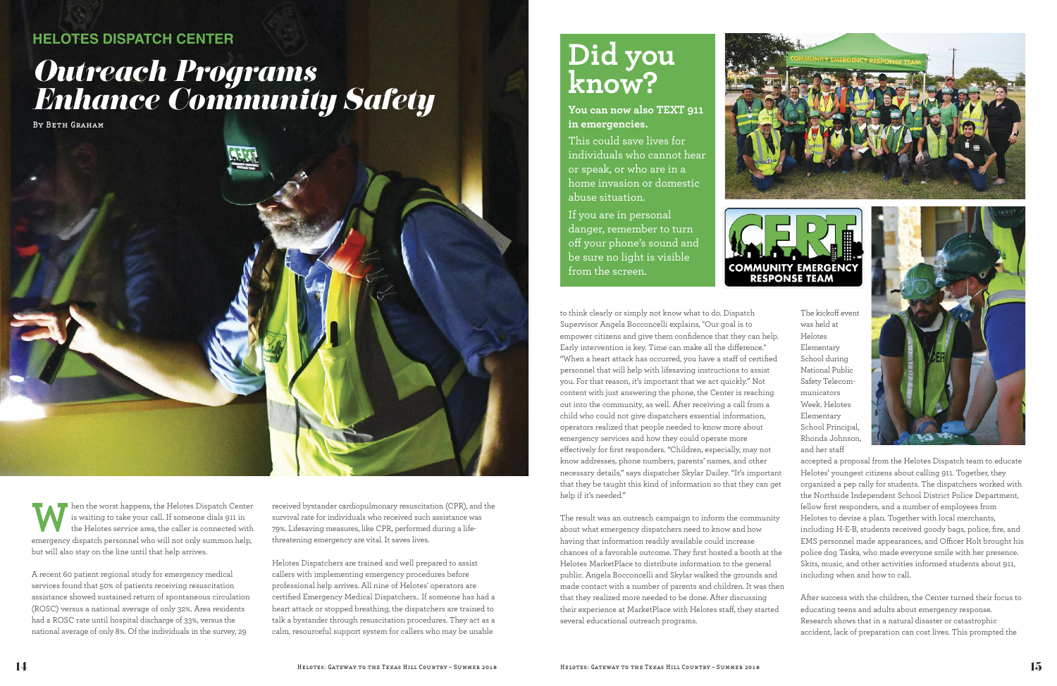hen the worst happens, the Helotes Dispatch Center is waiting to take your call. If someone dials 911 in the Helotes service area, the caller is connected with emergency dispatch personnel who will not only summon help, but will also stay on the line until that help arrives.

A recent 60 patient regional study for emergency medical services found that 50% of patients receiving resuscitation assistance showed sustained return of spontaneous circulation (ROSC) versus a national average of only 32%. Area residents had a ROSC rate until hospital discharge of 33%, versus the national average of only 8%. Of the individuals in the survey, 29

received bystander cardiopulmonary resuscitation (CPR), and the survival rate for individuals who received such assistance was 79%. Lifesaving measures, like CPR, performed during a lifethreatening emergency are vital. It saves lives.

Helotes Dispatchers are trained and well prepared to assist callers with implementing emergency procedures before professional help arrives. All nine of Helotes' operators are certified Emergency Medical Dispatchers.. If someone has had a heart attack or stopped breathing, the dispatchers are trained to talk a bystander through resuscitation procedures. They act as a calm, resourceful support system for callers who may be unable

to think clearly or simply not know what to do. Dispatch Supervisor Angela Bocconcelli explains, "Our goal is to empower citizens and give them confidence that they can help. Early intervention is key. Time can make all the difference." "When a heart attack has occurred, you have a staff of certified personnel that will help with lifesaving instructions to assist you. For that reason, it's important that we act quickly." Not content with just answering the phone, the Center is reaching out into the community, as well. After receiving a call from a child who could not give dispatchers essential information, operators realized that people needed to know more about emergency services and how they could operate more effectively for first responders. "Children, especially, may not know addresses, phone numbers, parents' names, and other necessary details," says dispatcher Skylar Dailey. "It's important that they be taught this kind of information so that they can get help if it's needed."

The result was an outreach campaign to inform the community about what emergency dispatchers need to know and how having that information readily available could increase chances of a favorable outcome. They first hosted a booth at the Helotes MarketPlace to distribute information to the general public. Angela Bocconcelli and Skylar walked the grounds and made contact with a number of parents and children. It was then that they realized more needed to be done. After discussing their experience at MarketPlace with Helotes staff, they started several educational outreach programs.

The kickoff event was held at Helotes Elementary School during National Public Safety Telecommunicators Week. Helotes Elementary School Principal, Rhonda Johnson, and her staff



accepted a proposal from the Helotes Dispatch team to educate Helotes' youngest citizens about calling 911. Together, they organized a pep rally for students. The dispatchers worked with the Northside Independent School District Police Department, fellow first responders, and a number of employees from Helotes to devise a plan. Together with local merchants, including H-E-B, students received goody bags, police, fire, and EMS personnel made appearances, and Officer Holt brought his police dog Taska, who made everyone smile with her presence. Skits, music, and other activities informed students about 911, including when and how to call.

After success with the children, the Center turned their focus to educating teens and adults about emergency response. Research shows that in a natural disaster or catastrophic accident, lack of preparation can cost lives. This prompted the

## *Outreach Programs Enhance Community Safety*

BY BETH GRAHAM



## **HELOTES DISPATCH CENTER**

## **Did you know?**

**You can now also TEXT 911 in emergencies.**

This could save lives for individuals who cannot hear or speak, or who are in a home invasion or domestic abuse situation.

If you are in personal danger, remember to turn off your phone's sound and be sure no light is visible from the screen.